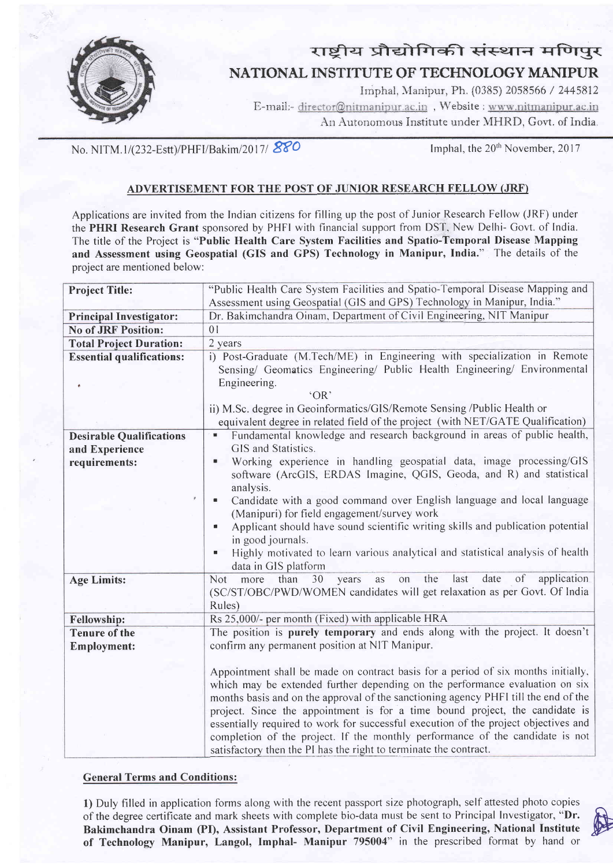

## राष्टीय प्रौद्योगिकी संस्थान मणिपुर NATIONAL INSTITUTE OF TECHNOLOGY MANIPUR

Imphal, Manipur, Ph. (0385) 2058566 / 2445812 E-mail:- director@nitmanipur.ac.in, Website : www.nitmanipur.ac.in An Autonomous Institute under MHRD, Govt. of India.

No. NITM.1/(232-Estt)/PHFI/Bakim/2017/880

Imphal, the 20<sup>th</sup> November, 2017

## ADVERTISEMENT FOR THE POST OF JUNIOR RESEARCH FELLOW (JRF)

Applications are invited from the Indian citizens for filling up the post of Junior Research Fellow (JRF) under the PHRI Research Grant sponsored by PHFI with financial support from DST, New Delhi- Govt. of India. The title of the Project is "Public Health Care System Facilities and Spatio-Temporal Disease Mapping and Assessment using Geospatial (GIS and GPS) Technology in Manipur, India." The details of the project are mentioned below:

| <b>Project Title:</b>                             | "Public Health Care System Facilities and Spatio-Temporal Disease Mapping and                                                                                                                                                                                                                                                                                                                                                                                                                                                                                                         |
|---------------------------------------------------|---------------------------------------------------------------------------------------------------------------------------------------------------------------------------------------------------------------------------------------------------------------------------------------------------------------------------------------------------------------------------------------------------------------------------------------------------------------------------------------------------------------------------------------------------------------------------------------|
|                                                   | Assessment using Geospatial (GIS and GPS) Technology in Manipur, India."                                                                                                                                                                                                                                                                                                                                                                                                                                                                                                              |
| <b>Principal Investigator:</b>                    | Dr. Bakimchandra Oinam, Department of Civil Engineering, NIT Manipur                                                                                                                                                                                                                                                                                                                                                                                                                                                                                                                  |
| <b>No of JRF Position:</b>                        | 0 <sub>1</sub>                                                                                                                                                                                                                                                                                                                                                                                                                                                                                                                                                                        |
| <b>Total Project Duration:</b>                    | 2 years                                                                                                                                                                                                                                                                                                                                                                                                                                                                                                                                                                               |
| <b>Essential qualifications:</b>                  | i) Post-Graduate (M.Tech/ME) in Engineering with specialization in Remote                                                                                                                                                                                                                                                                                                                                                                                                                                                                                                             |
|                                                   | Sensing/ Geomatics Engineering/ Public Health Engineering/ Environmental                                                                                                                                                                                                                                                                                                                                                                                                                                                                                                              |
|                                                   | Engineering.                                                                                                                                                                                                                                                                                                                                                                                                                                                                                                                                                                          |
|                                                   | 'OR'                                                                                                                                                                                                                                                                                                                                                                                                                                                                                                                                                                                  |
|                                                   | ii) M.Sc. degree in Geoinformatics/GIS/Remote Sensing /Public Health or                                                                                                                                                                                                                                                                                                                                                                                                                                                                                                               |
|                                                   | equivalent degree in related field of the project (with NET/GATE Qualification)                                                                                                                                                                                                                                                                                                                                                                                                                                                                                                       |
| <b>Desirable Qualifications</b><br>and Experience | Fundamental knowledge and research background in areas of public health,<br>π<br>GIS and Statistics.                                                                                                                                                                                                                                                                                                                                                                                                                                                                                  |
| requirements:                                     | Working experience in handling geospatial data, image processing/GIS<br>۰<br>software (ArcGIS, ERDAS Imagine, QGIS, Geoda, and R) and statistical<br>analysis.                                                                                                                                                                                                                                                                                                                                                                                                                        |
|                                                   | Candidate with a good command over English language and local language<br>Ξ<br>(Manipuri) for field engagement/survey work                                                                                                                                                                                                                                                                                                                                                                                                                                                            |
|                                                   | Applicant should have sound scientific writing skills and publication potential<br>Ű.<br>in good journals.                                                                                                                                                                                                                                                                                                                                                                                                                                                                            |
|                                                   | Highly motivated to learn various analytical and statistical analysis of health<br>$\blacksquare$<br>data in GIS platform                                                                                                                                                                                                                                                                                                                                                                                                                                                             |
| <b>Age Limits:</b>                                | the<br>last<br>date<br>of<br>application<br>than<br>30<br>Not<br>more<br>years<br>as<br>on<br>(SC/ST/OBC/PWD/WOMEN candidates will get relaxation as per Govt. Of India<br>Rules)                                                                                                                                                                                                                                                                                                                                                                                                     |
| Fellowship:                                       | Rs 25,000/- per month (Fixed) with applicable HRA                                                                                                                                                                                                                                                                                                                                                                                                                                                                                                                                     |
| <b>Tenure of the</b>                              | The position is purely temporary and ends along with the project. It doesn't                                                                                                                                                                                                                                                                                                                                                                                                                                                                                                          |
| <b>Employment:</b>                                | confirm any permanent position at NIT Manipur.                                                                                                                                                                                                                                                                                                                                                                                                                                                                                                                                        |
|                                                   | Appointment shall be made on contract basis for a period of six months initially,<br>which may be extended further depending on the performance evaluation on six<br>months basis and on the approval of the sanctioning agency PHFI till the end of the<br>project. Since the appointment is for a time bound project, the candidate is<br>essentially required to work for successful execution of the project objectives and<br>completion of the project. If the monthly performance of the candidate is not<br>satisfactory then the PI has the right to terminate the contract. |

## **General Terms and Conditions:**

1) Duly filled in application forms along with the recent passport size photograph, self attested photo copies of the degree certificate and mark sheets with complete bio-data must be sent to Principal Investigator, "Dr. Bakimchandra Oinam (PI), Assistant Professor, Department of Civil Engineering, National Institute of Technology Manipur, Langol, Imphal- Manipur 795004" in the prescribed format by hand or